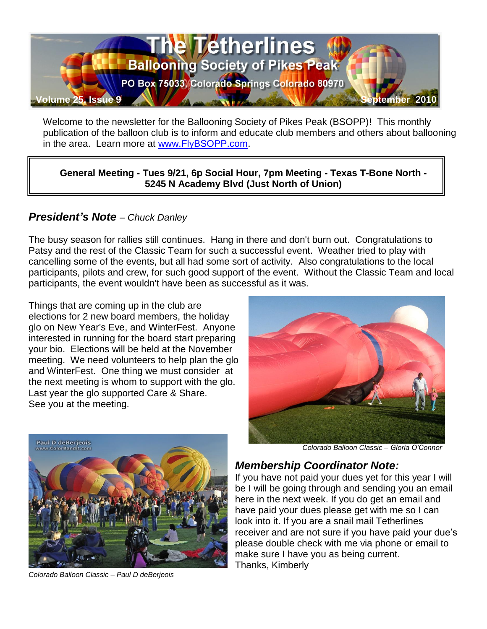

Welcome to the newsletter for the Ballooning Society of Pikes Peak (BSOPP)! This monthly publication of the balloon club is to inform and educate club members and others about ballooning in the area. Learn more at [www.FlyBSOPP.com.](http://www.flybsopp.com/)

**General Meeting - Tues 9/21, 6p Social Hour, 7pm Meeting - Texas T-Bone North - 5245 N Academy Blvd (Just North of Union)** 

#### *President's Note – Chuck Danley*

The busy season for rallies still continues. Hang in there and don't burn out. Congratulations to Patsy and the rest of the Classic Team for such a successful event. Weather tried to play with cancelling some of the events, but all had some sort of activity. Also congratulations to the local participants, pilots and crew, for such good support of the event. Without the Classic Team and local participants, the event wouldn't have been as successful as it was.

Things that are coming up in the club are elections for 2 new board members, the holiday glo on New Year's Eve, and WinterFest. Anyone interested in running for the board start preparing your bio. Elections will be held at the November meeting. We need volunteers to help plan the glo and WinterFest. One thing we must consider at the next meeting is whom to support with the glo. Last year the glo supported Care & Share. See you at the meeting.





*Colorado Balloon Classic – Paul D deBerjeois*

 *Colorado Balloon Classic – Gloria O'Connor*

#### *Membership Coordinator Note:*

If you have not paid your dues yet for this year I will be I will be going through and sending you an email here in the next week. If you do get an email and have paid your dues please get with me so I can look into it. If you are a snail mail Tetherlines receiver and are not sure if you have paid your due's please double check with me via phone or email to make sure I have you as being current. Thanks, Kimberly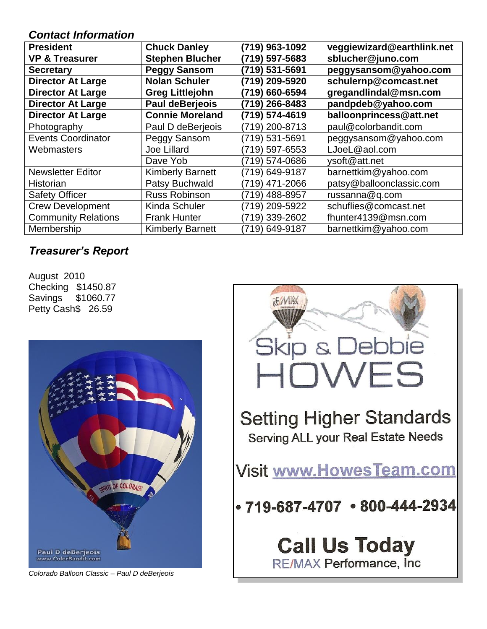#### *Contact Information*

| <b>President</b>           | <b>Chuck Danley</b>     | (719) 963-1092 | veggiewizard@earthlink.net |
|----------------------------|-------------------------|----------------|----------------------------|
| <b>VP &amp; Treasurer</b>  | <b>Stephen Blucher</b>  | (719) 597-5683 | sblucher@juno.com          |
| <b>Secretary</b>           | <b>Peggy Sansom</b>     | (719) 531-5691 | peggysansom@yahoo.com      |
| <b>Director At Large</b>   | <b>Nolan Schuler</b>    | (719) 209-5920 | schulernp@comcast.net      |
| <b>Director At Large</b>   | <b>Greg Littlejohn</b>  | (719) 660-6594 | gregandlindal@msn.com      |
| <b>Director At Large</b>   | <b>Paul deBerjeois</b>  | (719) 266-8483 | pandpdeb@yahoo.com         |
| <b>Director At Large</b>   | <b>Connie Moreland</b>  | (719) 574-4619 | balloonprincess@att.net    |
| Photography                | Paul D deBerjeois       | (719) 200-8713 | paul@colorbandit.com       |
| <b>Events Coordinator</b>  | Peggy Sansom            | (719) 531-5691 | peggysansom@yahoo.com      |
| Webmasters                 | <b>Joe Lillard</b>      | (719) 597-6553 | LJoeL@aol.com              |
|                            | Dave Yob                | (719) 574-0686 | ysoft@att.net              |
| <b>Newsletter Editor</b>   | <b>Kimberly Barnett</b> | (719) 649-9187 | barnettkim@yahoo.com       |
| Historian                  | Patsy Buchwald          | (719) 471-2066 | patsy@balloonclassic.com   |
| <b>Safety Officer</b>      | Russ Robinson           | (719) 488-8957 | russanna@q.com             |
| <b>Crew Development</b>    | Kinda Schuler           | (719) 209-5922 | schuflies@comcast.net      |
| <b>Community Relations</b> | <b>Frank Hunter</b>     | (719) 339-2602 | fhunter4139@msn.com        |
| Membership                 | <b>Kimberly Barnett</b> | (719) 649-9187 | barnettkim@yahoo.com       |

# *Treasurer's Report*

August 2010 Checking \$1450.87 Savings \$1060.77 Petty Cash\$ 26.59



*Colorado Balloon Classic – Paul D deBerjeois*

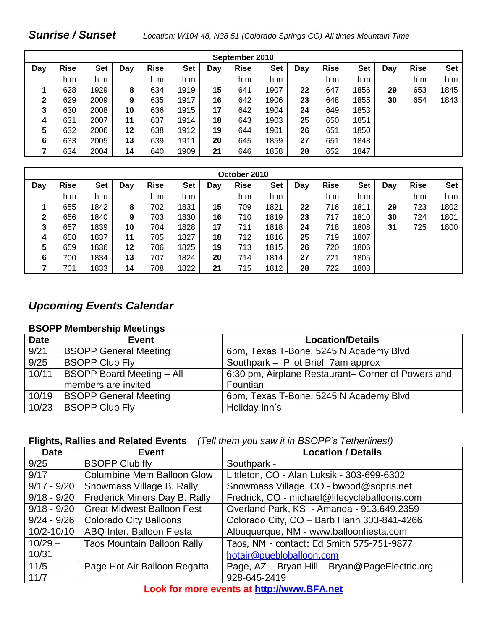#### *Sunrise / Sunset Location: W104 48, N38 51 (Colorado Springs CO) All times Mountain Time*

| September 2010 |             |            |     |             |            |     |             |            |     |             |            |     |             |            |
|----------------|-------------|------------|-----|-------------|------------|-----|-------------|------------|-----|-------------|------------|-----|-------------|------------|
| Day            | <b>Rise</b> | <b>Set</b> | Day | <b>Rise</b> | <b>Set</b> | Day | <b>Rise</b> | <b>Set</b> | Day | <b>Rise</b> | <b>Set</b> | Day | <b>Rise</b> | <b>Set</b> |
|                | h m         | h m        |     | h m         | h m        |     | h m         | h m        |     | h m         | h m        |     | h m         | h m        |
| 1              | 628         | 1929       | 8   | 634         | 1919       | 15  | 641         | 1907       | 22  | 647         | 1856       | 29  | 653         | 1845       |
| 2              | 629         | 2009       | 9   | 635         | 1917       | 16  | 642         | 1906       | 23  | 648         | 1855       | 30  | 654         | 1843       |
| 3              | 630         | 2008       | 10  | 636         | 1915       | 17  | 642         | 1904       | 24  | 649         | 1853       |     |             |            |
| 4              | 631         | 2007       | 11  | 637         | 1914       | 18  | 643         | 1903       | 25  | 650         | 1851       |     |             |            |
| 5              | 632         | 2006       | 12  | 638         | 1912       | 19  | 644         | 1901       | 26  | 651         | 1850       |     |             |            |
| 6              | 633         | 2005       | 13  | 639         | 1911       | 20  | 645         | 1859       | 27  | 651         | 1848       |     |             |            |
|                | 634         | 2004       | 14  | 640         | 1909       | 21  | 646         | 1858       | 28  | 652         | 1847       |     |             |            |

| October 2010 |             |      |     |             |            |     |             |            |     |             |            |     |             |      |
|--------------|-------------|------|-----|-------------|------------|-----|-------------|------------|-----|-------------|------------|-----|-------------|------|
| Day          | <b>Rise</b> | Set  | Day | <b>Rise</b> | <b>Set</b> | Day | <b>Rise</b> | <b>Set</b> | Day | <b>Rise</b> | <b>Set</b> | Day | <b>Rise</b> | Set  |
|              | h m         | h m  |     | h m         | h m        |     | h m         | h m        |     | h m         | h m        |     | h m         | h m  |
|              | 655         | 1842 | 8   | 702         | 1831       | 15  | 709         | 1821       | 22  | 716         | 1811       | 29  | 723         | 1802 |
| 2            | 656         | 1840 | 9   | 703         | 1830       | 16  | 710         | 1819       | 23  | 717         | 1810       | 30  | 724         | 1801 |
| 3            | 657         | 1839 | 10  | 704         | 1828       | 17  | 711         | 1818       | 24  | 718         | 1808       | 31  | 725         | 1800 |
| 4            | 658         | 1837 | 11  | 705         | 1827       | 18  | 712         | 1816       | 25  | 719         | 1807       |     |             |      |
| 5            | 659         | 1836 | 12  | 706         | 1825       | 19  | 713         | 1815       | 26  | 720         | 1806       |     |             |      |
| 6            | 700         | 1834 | 13  | 707         | 1824       | 20  | 714         | 1814       | 27  | 721         | 1805       |     |             |      |
|              | 701         | 1833 | 14  | 708         | 1822       | 21  | 715         | 1812       | 28  | 722         | 1803       |     |             |      |

#### *Upcoming Events Calendar*

#### **BSOPP Membership Meetings**

| <b>Date</b> | <b>Event</b>                     | <b>Location/Details</b>                            |
|-------------|----------------------------------|----------------------------------------------------|
| 9/21        | <b>BSOPP General Meeting</b>     | 6pm, Texas T-Bone, 5245 N Academy Blvd             |
| 9/25        | <b>BSOPP Club Fly</b>            | Southpark - Pilot Brief 7am approx                 |
| 10/11       | <b>BSOPP Board Meeting - All</b> | 6:30 pm, Airplane Restaurant– Corner of Powers and |
|             | members are invited              | Fountian                                           |
| 10/19       | <b>BSOPP General Meeting</b>     | 6pm, Texas T-Bone, 5245 N Academy Blvd             |
| 10/23       | <b>BSOPP Club Fly</b>            | Holiday Inn's                                      |

#### **Flights, Rallies and Related Events** *(Tell them you saw it in BSOPP's Tetherlines!)*

| <b>Event</b>                      | <b>Location / Details</b>                      |
|-----------------------------------|------------------------------------------------|
| <b>BSOPP Club fly</b>             | Southpark -                                    |
| <b>Columbine Mem Balloon Glow</b> | Littleton, CO - Alan Luksik - 303-699-6302     |
| Snowmass Village B. Rally         | Snowmass Village, CO - bwood@sopris.net        |
| Frederick Miners Day B. Rally     | Fredrick, CO - michael@lifecycleballoons.com   |
| <b>Great Midwest Balloon Fest</b> | Overland Park, KS - Amanda - 913.649.2359      |
| <b>Colorado City Balloons</b>     | Colorado City, CO - Barb Hann 303-841-4266     |
| ABQ Inter. Balloon Fiesta         | Albuquerque, NM - www.balloonfiesta.com        |
| Taos Mountain Balloon Rally       | Taos, NM - contact: Ed Smith 575-751-9877      |
|                                   | hotair@puebloballoon.com                       |
| Page Hot Air Balloon Regatta      | Page, AZ - Bryan Hill - Bryan@PageElectric.org |
|                                   | 928-645-2419                                   |
|                                   |                                                |

**Look for more events at [http://www.BFA.net](http://www.bfa.net/)**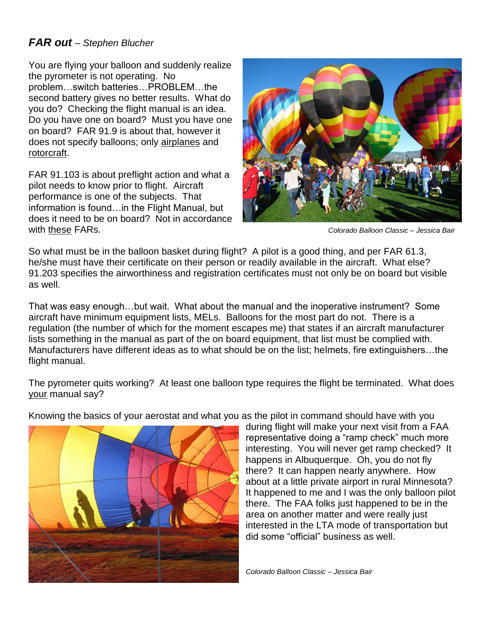#### *FAR out – Stephen Blucher*

You are flying your balloon and suddenly realize the pyrometer is not operating. No problem…switch batteries…PROBLEM…the second battery gives no better results. What do you do? Checking the flight manual is an idea. Do you have one on board? Must you have one on board? FAR 91.9 is about that, however it does not specify balloons; only airplanes and rotorcraft.

FAR 91.103 is about preflight action and what a pilot needs to know prior to flight. Aircraft performance is one of the subjects. That information is found…in the Flight Manual, but does it need to be on board? Not in accordance with these FARs. *Colorado Balloon Classic – Jessica Bair*



So what must be in the balloon basket during flight? A pilot is a good thing, and per FAR 61.3, he/she must have their certificate on their person or readily available in the aircraft. What else? 91.203 specifies the airworthiness and registration certificates must not only be on board but visible as well.

That was easy enough…but wait. What about the manual and the inoperative instrument? Some aircraft have minimum equipment lists, MELs. Balloons for the most part do not. There is a regulation (the number of which for the moment escapes me) that states if an aircraft manufacturer lists something in the manual as part of the on board equipment, that list must be complied with. Manufacturers have different ideas as to what should be on the list; helmets, fire extinguishers…the flight manual.

The pyrometer quits working? At least one balloon type requires the flight be terminated. What does your manual say?

Knowing the basics of your aerostat and what you as the pilot in command should have with you



during flight will make your next visit from a FAA representative doing a "ramp check" much more interesting. You will never get ramp checked? It happens in Albuquerque. Oh, you do not fly there? It can happen nearly anywhere. How about at a little private airport in rural Minnesota? It happened to me and I was the only balloon pilot there. The FAA folks just happened to be in the area on another matter and were really just interested in the LTA mode of transportation but did some "official" business as well.

*Colorado Balloon Classic – Jessica Bair*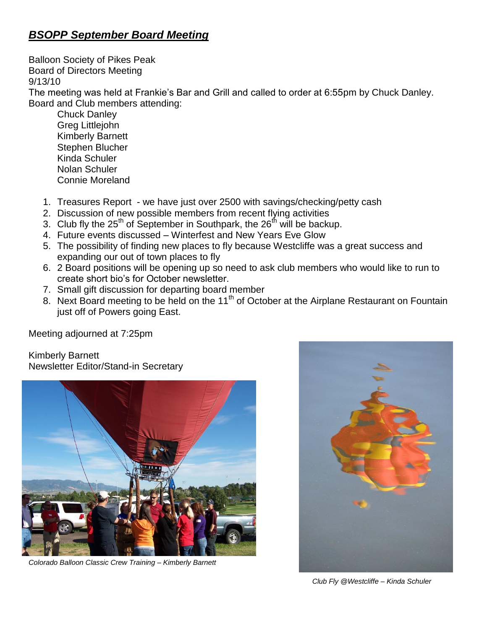## *BSOPP September Board Meeting*

Balloon Society of Pikes Peak Board of Directors Meeting 9/13/10

The meeting was held at Frankie's Bar and Grill and called to order at 6:55pm by Chuck Danley. Board and Club members attending:

Chuck Danley Greg Littlejohn Kimberly Barnett Stephen Blucher Kinda Schuler Nolan Schuler Connie Moreland

- 1. Treasures Report we have just over 2500 with savings/checking/petty cash
- 2. Discussion of new possible members from recent flying activities
- 3. Club fly the  $25<sup>th</sup>$  of September in Southpark, the  $26<sup>th</sup>$  will be backup.
- 4. Future events discussed Winterfest and New Years Eve Glow
- 5. The possibility of finding new places to fly because Westcliffe was a great success and expanding our out of town places to fly
- 6. 2 Board positions will be opening up so need to ask club members who would like to run to create short bio's for October newsletter.
- 7. Small gift discussion for departing board member
- 8. Next Board meeting to be held on the 11<sup>th</sup> of October at the Airplane Restaurant on Fountain just off of Powers going East.

Meeting adjourned at 7:25pm

Kimberly Barnett Newsletter Editor/Stand-in Secretary



*Colorado Balloon Classic Crew Training – Kimberly Barnett*



 *Club Fly @Westcliffe – Kinda Schuler*